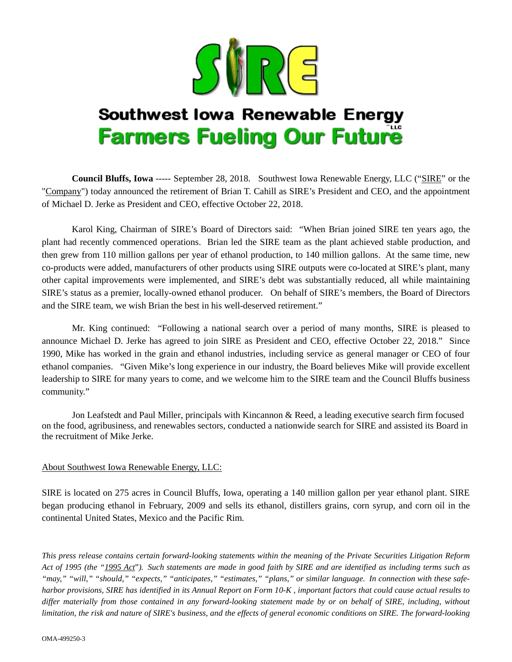

## **Southwest lowa Renewable Energy Farmers Fueling Our Future**

**Council Bluffs, Iowa** ----- September 28, 2018. Southwest Iowa Renewable Energy, LLC ("SIRE" or the "Company") today announced the retirement of Brian T. Cahill as SIRE's President and CEO, and the appointment of Michael D. Jerke as President and CEO, effective October 22, 2018.

Karol King, Chairman of SIRE's Board of Directors said: "When Brian joined SIRE ten years ago, the plant had recently commenced operations. Brian led the SIRE team as the plant achieved stable production, and then grew from 110 million gallons per year of ethanol production, to 140 million gallons. At the same time, new co-products were added, manufacturers of other products using SIRE outputs were co-located at SIRE's plant, many other capital improvements were implemented, and SIRE's debt was substantially reduced, all while maintaining SIRE's status as a premier, locally-owned ethanol producer. On behalf of SIRE's members, the Board of Directors and the SIRE team, we wish Brian the best in his well-deserved retirement."

Mr. King continued: "Following a national search over a period of many months, SIRE is pleased to announce Michael D. Jerke has agreed to join SIRE as President and CEO, effective October 22, 2018." Since 1990, Mike has worked in the grain and ethanol industries, including service as general manager or CEO of four ethanol companies. "Given Mike's long experience in our industry, the Board believes Mike will provide excellent leadership to SIRE for many years to come, and we welcome him to the SIRE team and the Council Bluffs business community."

Jon Leafstedt and Paul Miller, principals with Kincannon & Reed, a leading executive search firm focused on the food, agribusiness, and renewables sectors, conducted a nationwide search for SIRE and assisted its Board in the recruitment of Mike Jerke.

## About Southwest Iowa Renewable Energy, LLC:

SIRE is located on 275 acres in Council Bluffs, Iowa, operating a 140 million gallon per year ethanol plant. SIRE began producing ethanol in February, 2009 and sells its ethanol, distillers grains, corn syrup, and corn oil in the continental United States, Mexico and the Pacific Rim.

*This press release contains certain forward-looking statements within the meaning of the Private Securities Litigation Reform Act of 1995 (the "1995 Act*"*). Such statements are made in good faith by SIRE and are identified as including terms such as "may," "will," "should," "expects," "anticipates," "estimates," "plans," or similar language. In connection with these safeharbor provisions, SIRE has identified in its Annual Report on Form 10-K , important factors that could cause actual results to differ materially from those contained in any forward-looking statement made by or on behalf of SIRE, including, without limitation, the risk and nature of SIRE's business, and the effects of general economic conditions on SIRE. The forward-looking*